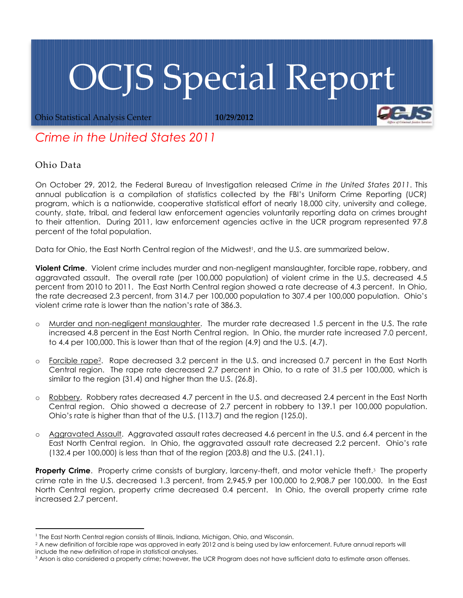## OCJS Special Report

Ohio Statistical Analysis Center **10/29/2012**

## *Crime in the United States 2011*

## Ohio Data

On October 29, 2012, the Federal Bureau of Investigation released *Crime in the United States 2011*. This annual publication is a compilation of statistics collected by the FBI's Uniform Crime Reporting (UCR) program, which is a nationwide, cooperative statistical effort of nearly 18,000 city, university and college, county, state, tribal, and federal law enforcement agencies voluntarily reporting data on crimes brought to their attention. During 2011, law enforcement agencies active in the UCR program represented 97.8 percent of the total population.

Data for Ohio, the East North Central region of the Midwest<sup>1</sup>, and the U.S. are summarized below.

**Violent Crime**. Violent crime includes murder and non-negligent manslaughter, forcible rape, robbery, and aggravated assault. The overall rate (per 100,000 population) of violent crime in the U.S. decreased 4.5 percent from 2010 to 2011. The East North Central region showed a rate decrease of 4.3 percent. In Ohio, the rate decreased 2.3 percent, from 314.7 per 100,000 population to 307.4 per 100,000 population. Ohio's violent crime rate is lower than the nation's rate of 386.3.

- o Murder and non-negligent manslaughter. The murder rate decreased 1.5 percent in the U.S. The rate increased 4.8 percent in the East North Central region. In Ohio, the murder rate increased 7.0 percent, to 4.4 per 100,000. This is lower than that of the region (4.9) and the U.S. (4.7).
- o Forcible rape2. Rape decreased 3.2 percent in the U.S. and increased 0.7 percent in the East North Central region. The rape rate decreased 2.7 percent in Ohio, to a rate of 31.5 per 100,000, which is similar to the region (31.4) and higher than the U.S. (26.8).
- o Robbery. Robbery rates decreased 4.7 percent in the U.S. and decreased 2.4 percent in the East North Central region. Ohio showed a decrease of 2.7 percent in robbery to 139.1 per 100,000 population. Ohio's rate is higher than that of the U.S. (113.7) and the region (125.0).
- o Aggravated Assault. Aggravated assault rates decreased 4.6 percent in the U.S. and 6.4 percent in the East North Central region. In Ohio, the aggravated assault rate decreased 2.2 percent. Ohio's rate (132.4 per 100,000) is less than that of the region (203.8) and the U.S. (241.1).

**Property Crime**. Property crime consists of burglary, larceny-theft, and motor vehicle theft.<sup>3</sup> The property crime rate in the U.S. decreased 1.3 percent, from 2,945.9 per 100,000 to 2,908.7 per 100,000. In the East North Central region, property crime decreased 0.4 percent. In Ohio, the overall property crime rate increased 2.7 percent.

 <sup>1</sup> The East North Central region consists of Illinois, Indiana, Michigan, Ohio, and Wisconsin.

<sup>&</sup>lt;sup>2</sup> A new definition of forcible rape was approved in early 2012 and is being used by law enforcement. Future annual reports will include the new definition of rape in statistical analyses.

 $3$  Arson is also considered a property crime; however, the UCR Program does not have sufficient data to estimate arson offenses.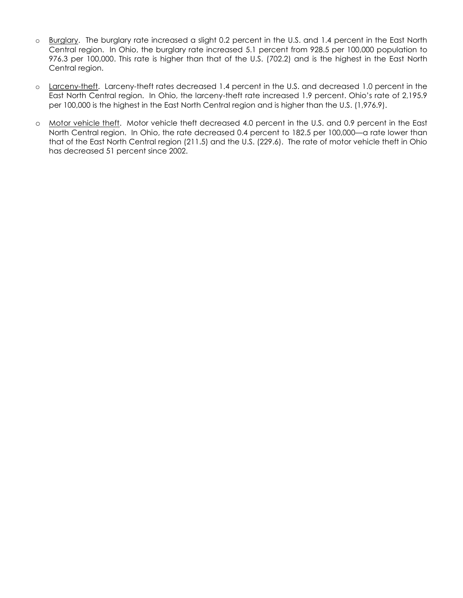- o Burglary. The burglary rate increased a slight 0.2 percent in the U.S. and 1.4 percent in the East North Central region. In Ohio, the burglary rate increased 5.1 percent from 928.5 per 100,000 population to 976.3 per 100,000. This rate is higher than that of the U.S. (702.2) and is the highest in the East North Central region.
- o Larceny-theft. Larceny-theft rates decreased 1.4 percent in the U.S. and decreased 1.0 percent in the East North Central region. In Ohio, the larceny-theft rate increased 1.9 percent. Ohio's rate of 2,195.9 per 100,000 is the highest in the East North Central region and is higher than the U.S. (1,976.9).
- o Motor vehicle theft. Motor vehicle theft decreased 4.0 percent in the U.S. and 0.9 percent in the East North Central region. In Ohio, the rate decreased 0.4 percent to 182.5 per 100,000—a rate lower than that of the East North Central region (211.5) and the U.S. (229.6). The rate of motor vehicle theft in Ohio has decreased 51 percent since 2002.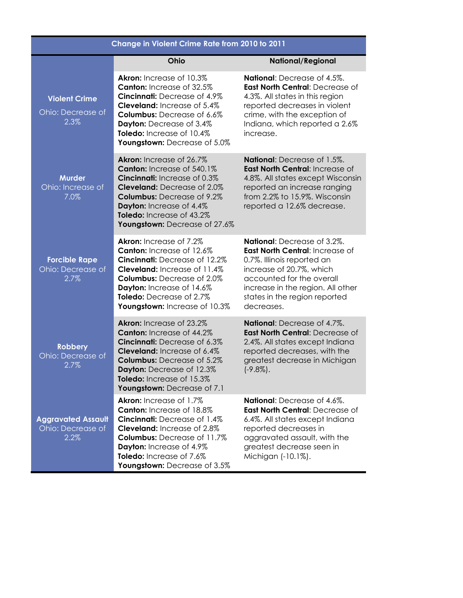| Change in Violent Crime Rate from 2010 to 2011         |                                                                                                                                                                                                                                                                                         |                                                                                                                                                                                                                                                  |  |
|--------------------------------------------------------|-----------------------------------------------------------------------------------------------------------------------------------------------------------------------------------------------------------------------------------------------------------------------------------------|--------------------------------------------------------------------------------------------------------------------------------------------------------------------------------------------------------------------------------------------------|--|
|                                                        | Ohio                                                                                                                                                                                                                                                                                    | <b>National/Regional</b>                                                                                                                                                                                                                         |  |
| <b>Violent Crime</b><br>Ohio: Decrease of<br>2.3%      | Akron: Increase of 10.3%<br>Canton: Increase of 32.5%<br><b>Cincinnati:</b> Decrease of 4.9%<br><b>Cleveland:</b> Increase of 5.4%<br>Columbus: Decrease of 6.6%<br>Dayton: Decrease of 3.4%<br><b>Toledo:</b> Increase of 10.4%<br>Youngstown: Decrease of 5.0%                        | National: Decrease of 4.5%.<br>East North Central: Decrease of<br>4.3%. All states in this region<br>reported decreases in violent<br>crime, with the exception of<br>Indiana, which reported a 2.6%<br>increase.                                |  |
| <b>Murder</b><br>Ohio: Increase of<br>7.0%             | <b>Akron:</b> Increase of 26.7%<br>Canton: Increase of 540.1%<br><b>Cincinnati:</b> Increase of 0.3%<br>Cleveland: Decrease of 2.0%<br><b>Columbus:</b> Decrease of 9.2%<br>Dayton: Increase of 4.4%<br>Toledo: Increase of 43.2%<br>Youngstown: Decrease of 27.6%                      | <b>National:</b> Decrease of 1.5%.<br>East North Central: Increase of<br>4.8%. All states except Wisconsin<br>reported an increase ranging<br>from 2.2% to 15.9%. Wisconsin<br>reported a 12.6% decrease.                                        |  |
| <b>Forcible Rape</b><br>Ohio: Decrease of<br>2.7%      | <b>Akron:</b> Increase of 7.2%<br><b>Canton:</b> Increase of 12.6%<br><b>Cincinnati:</b> Decrease of 12.2%<br><b>Cleveland:</b> Increase of 11.4%<br><b>Columbus:</b> Decrease of 2.0%<br>Dayton: Increase of 14.6%<br><b>Toledo:</b> Decrease of 2.7%<br>Youngstown: Increase of 10.3% | <b>National:</b> Decrease of 3.2%.<br>East North Central: Increase of<br>0.7%. Illinois reported an<br>increase of 20.7%, which<br>accounted for the overall<br>increase in the region. All other<br>states in the region reported<br>decreases. |  |
| <b>Robbery</b><br>Ohio: Decrease of<br>2.7%            | Akron: Increase of 23.2%<br><b>Canton:</b> Increase of 44.2%<br>Cincinnati: Decrease of 6.3%<br>Cleveland: Increase of 6.4%<br><b>Columbus:</b> Decrease of 5.2%<br>Dayton: Decrease of 12.3%<br>Toledo: Increase of 15.3%<br>Youngstown: Decrease of 7.1                               | National: Decrease of 4.7%.<br>East North Central: Decrease of<br>2.4%. All states except Indiana<br>reported decreases, with the<br>greatest decrease in Michigan<br>$(-9.8\%)$ .                                                               |  |
| <b>Aggravated Assault</b><br>Ohio: Decrease of<br>2.2% | <b>Akron:</b> Increase of 1.7%<br><b>Canton:</b> Increase of 18.8%<br><b>Cincinnati:</b> Decrease of 1.4%<br><b>Cleveland:</b> Increase of 2.8%<br><b>Columbus: Decrease of 11.7%</b><br>Dayton: Increase of 4.9%<br>Toledo: Increase of 7.6%<br>Youngstown: Decrease of 3.5%           | <b>National:</b> Decrease of 4.6%.<br>East North Central: Decrease of<br>6.4%. All states except Indiana<br>reported decreases in<br>aggravated assault, with the<br>greatest decrease seen in<br>Michigan (-10.1%).                             |  |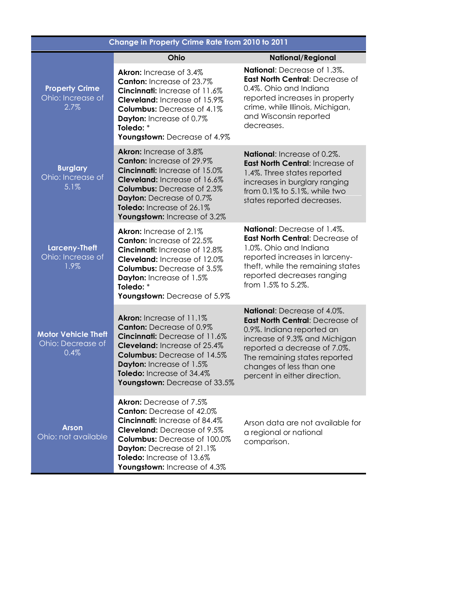| Change in Property Crime Rate from 2010 to 2011         |                                                                                                                                                                                                                                                                            |                                                                                                                                                                                                                                                           |  |
|---------------------------------------------------------|----------------------------------------------------------------------------------------------------------------------------------------------------------------------------------------------------------------------------------------------------------------------------|-----------------------------------------------------------------------------------------------------------------------------------------------------------------------------------------------------------------------------------------------------------|--|
|                                                         | Ohio                                                                                                                                                                                                                                                                       | <b>National/Regional</b>                                                                                                                                                                                                                                  |  |
| <b>Property Crime</b><br>Ohio: Increase of<br>2.7%      | <b>Akron:</b> Increase of 3.4%<br><b>Canton:</b> Increase of 23.7%<br>Cincinnati: Increase of 11.6%<br>Cleveland: Increase of 15.9%<br>Columbus: Decrease of 4.1%<br>Dayton: Increase of 0.7%<br>Toledo: *<br>Youngstown: Decrease of 4.9%                                 | National: Decrease of 1.3%.<br>East North Central: Decrease of<br>0.4%. Ohio and Indiana<br>reported increases in property<br>crime, while Illinois, Michigan,<br>and Wisconsin reported<br>decreases.                                                    |  |
| <b>Burglary</b><br>Ohio: Increase of<br>5.1%            | Akron: Increase of 3.8%<br><b>Canton:</b> Increase of 29.9%<br><b>Cincinnati:</b> Increase of 15.0%<br>Cleveland: Increase of 16.6%<br><b>Columbus: Decrease of 2.3%</b><br>Dayton: Decrease of 0.7%<br>Toledo: Increase of 26.1%<br>Youngstown: Increase of 3.2%          | National: Increase of 0.2%.<br>East North Central: Increase of<br>1.4%. Three states reported<br>increases in burglary ranging<br>from 0.1% to 5.1%, while two<br>states reported decreases.                                                              |  |
| <b>Larceny-Theft</b><br>Ohio: Increase of<br>1.9%       | <b>Akron:</b> Increase of 2.1%<br><b>Canton:</b> Increase of 22.5%<br><b>Cincinnati:</b> Increase of 12.8%<br>Cleveland: Increase of 12.0%<br><b>Columbus: Decrease of 3.5%</b><br>Dayton: Increase of 1.5%<br>Toledo: *<br>Youngstown: Decrease of 5.9%                   | National: Decrease of 1.4%.<br>East North Central: Decrease of<br>1.0%. Ohio and Indiana<br>reported increases in larceny-<br>theft, while the remaining states<br>reported decreases ranging<br>from 1.5% to 5.2%.                                       |  |
| <b>Motor Vehicle Theft</b><br>Ohio: Decrease of<br>0.4% | <b>Akron:</b> Increase of 11.1%<br><b>Canton:</b> Decrease of 0.9%<br>Cincinnati: Decrease of 11.6%<br><b>Cleveland:</b> Increase of 25.4%<br><b>Columbus: Decrease of 14.5%</b><br>Dayton: Increase of 1.5%<br>Toledo: Increase of 34.4%<br>Youngstown: Decrease of 33.5% | National: Decrease of 4.0%.<br>East North Central: Decrease of<br>0.9%. Indiana reported an<br>increase of 9.3% and Michigan<br>reported a decrease of 7.0%.<br>The remaining states reported<br>changes of less than one<br>percent in either direction. |  |
| <b>Arson</b><br>Ohio: not available                     | <b>Akron:</b> Decrease of 7.5%<br><b>Canton:</b> Decrease of 42.0%<br>Cincinnati: Increase of 84.4%<br><b>Cleveland:</b> Decrease of 9.5%<br><b>Columbus:</b> Decrease of 100.0%<br>Dayton: Decrease of 21.1%<br>Toledo: Increase of 13.6%<br>Youngstown: Increase of 4.3% | Arson data are not available for<br>a regional or national<br>comparison.                                                                                                                                                                                 |  |